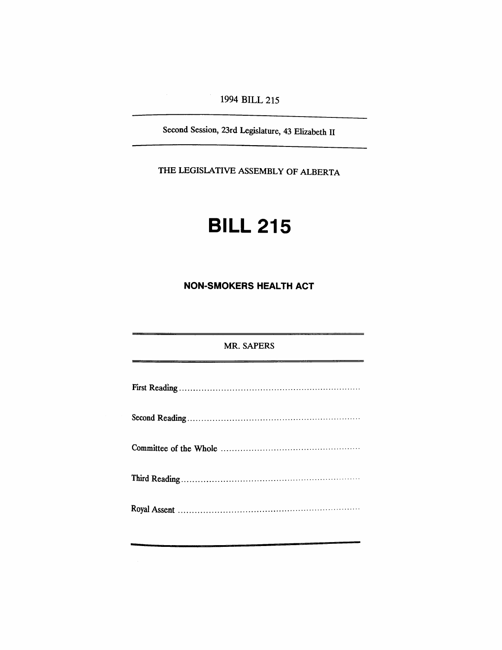1994 BILL 215

Second Session, 23rd Legislature, 43 Elizabeth II

THE LEGISLATIVE ASSEMBLY OF ALBERTA

# **BILL 215**

**NON-SMOKERS HEALTH ACT**

# MR. SAPERS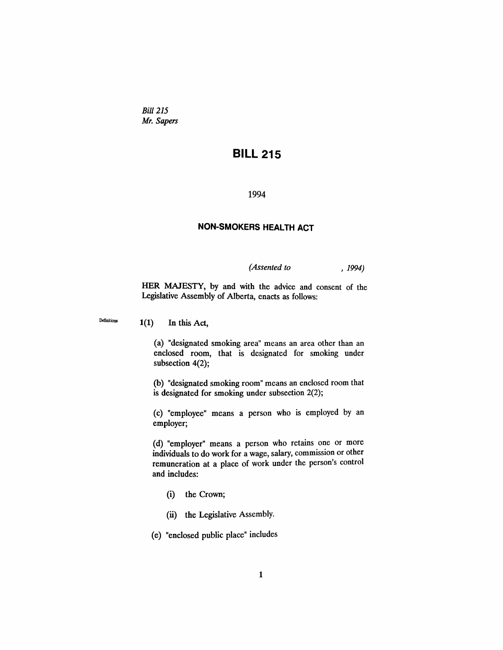*Bill* 215 *Mr. Sapers*

# **BILL 215**

1994

# **NON-SMOKERS HEALTH ACT**

*(Assented to* , 1994)

HER MAJESTY, by and with the advice and consent of the Legislative Assembly of Alberta, enacts as follows:

Definitions  $1(1)$  In this Act,

(a) "designated smoking area" means an area other than an enclosed room, that is designated for smoking under subsection 4(2);

(b) "designated smoking room" means an enclosed room that is designated for smoking under subsection 2(2);

(c) "employee" means a person who is employed by an employer;

(d) "employer" means a person who retains one or more individuals to do work for a wage, salary, commission or other remuneration at a place of work under the person's control and includes:

- (i) the Crown;
- (ii) the Legislative Assembly.

(e) "enclosed public place" includes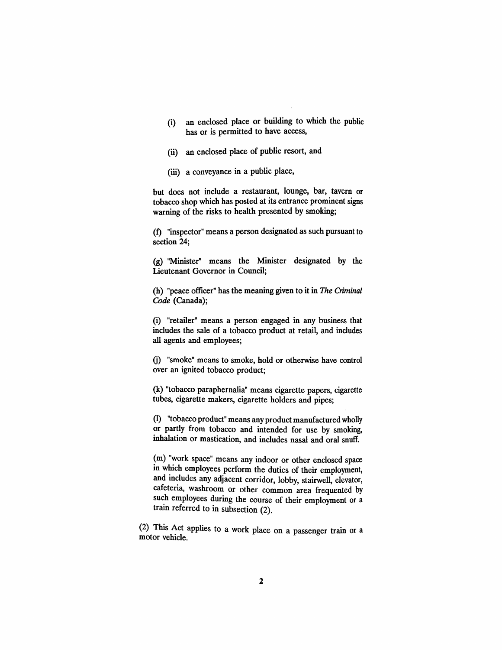- (i) an enclosed place or building to which the public has or is permitted to have access,
- (ii) an enclosed place of public resort, and
- (iii) a conveyance in a public place,

but does not include a restaurant, lounge, bar, tavern or tobacco shop which has posted at its entrance prominent signs warning of the risks to health presented by smoking;

(t) "inspector" means a person designated as such pursuant to section 24;

(g) "Minister" means the Minister designated by the Lieutenant Governor in Council;

(h) "peace officer" has the meaning given to it in The Criminal *Code* (Canada);

(i) "retailer" means a person· engaged in any business that includes the sale of a tobacco product at retail, and includes all agents and employees;

G) "smoke" means to smoke, hold or otherwise have control over an ignited tobacco product;

(k) "tobacco paraphernalia" means cigarette papers, cigarette tubes, cigarette makers, cigarette holders and pipes;

(I) "tobacco product" means any product manufactured wholly or partly from tobacco and intended for use by smoking, inhalation or mastication, and includes nasal and oral snuff.

(m) "work space" means any indoor or other enclosed space in which employees perform the duties of their employment, and includes any adjacent corridor, lobby, stairwell, elevator, cafeteria, washroom or other common area frequented by such employees during the course of their employment or a train referred to in subsection (2).

(2) This Act applies to a work place on a passenger train or a motor vehicle.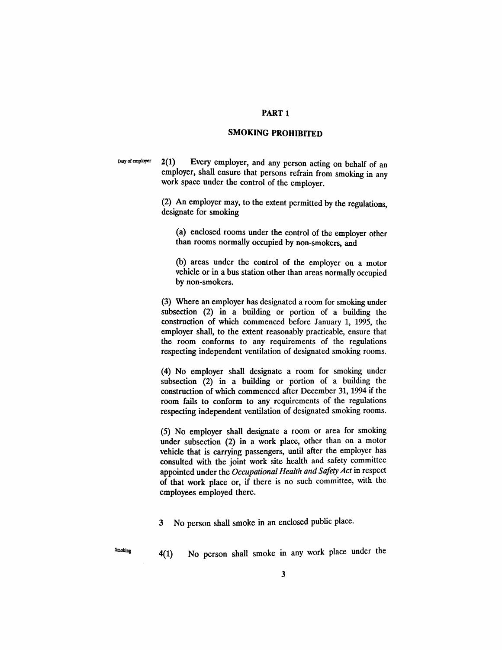#### PART 1

#### **SMOKING PROHIBITED**

Duty of employer 2(1) Every employer, and any person acting on behalf of an employer, shall ensure that persons refrain from smoking in any work space under the control of the employer.

> (2) An employer may, to the extent permitted by the regulations, designate for smoking

(a) enclosed rooms under the control of the employer other than rooms normally occupied by non-smokers, and

(b) areas under the control of the employer on a motor vehicle or in a bus station other than areas normally occupied by non-smokers.

(3) Where an employer has designated a room for smoking under subsection (2) in a building or portion of a building the construction of which commenced before January 1, 1995, the employer shall, to the extent reasonably practicable, ensure that the room conforms to any requirements of the regulations respecting independent ventilation of designated smoking rooms.

(4) No employer shall designate a room for smoking under subsection (2) in a building or portion of a building the construction of which commenced after December 31, 1994 if the room fails to conform to any requirements of the regulations respecting independent ventilation of designated smoking rooms.

(5) No employer shall designate a room or area for smoking under subsection (2) in a work place, other than on a motor vehicle that is carrying passengers, until after the employer has consulted with the joint work site health and safety committee appointed under the *Occupational Health and SafetyAct* in respect of that work place or, if there is no such committee, with the employees employed there.

3 No person shall smoke in an enclosed public place.

 $S_{\text{moking}}$  4(1) No person shall smoke in any work place under the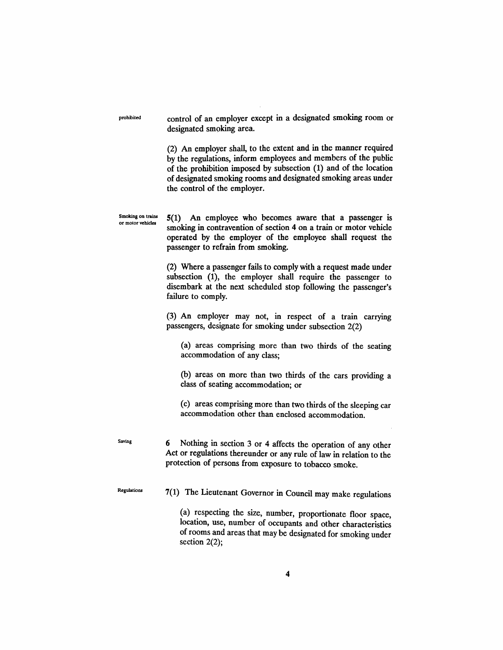prohibited Smoking on trains or motor vehicles Saving **Regulations** control of an employer except in a designated smoking room or designated smoking area. (2) An employer shall, to the extent and in the manner required by the regulations, inform employees and members of the public of the prohibition imposed by subsection (1) and of the location of designated smoking rooms and designated smoking areas under the control of the employer. 5(1) An employee who becomes aware that a passenger is smoking in contravention of section 4 on a train or motor vehicle operated by the employer of the employee shall request the passenger to refrain from smoking. (2) Where a passenger fails to comply with a request made under subsection (1), the employer shall require the passenger to disembark at the next scheduled stop following the passenger's failure to comply. (3) An employer may not, in respect of a train carrying passengers, designate for smoking under subsection 2(2) (a) areas comprising more than two thirds of the seating accommodation of any class; (b) areas on more than two thirds of the cars providing a class of seating accommodation; or (c) areas comprising more than two thirds of the sleeping car accommodation other than enclosed accommodation. 6 Nothing in section 3 or 4 affects the operation of any other Act or regulations thereunder or any rule of law in relation to the protection of persons from exposure to tobacco smoke. 7(1) The Lieutenant Governor in Council may make regulations (a) respecting the size, number, proportionate floor space, location, use, number of occupants and other characteristics of rooms and areas that may be designated for smoking under section 2(2);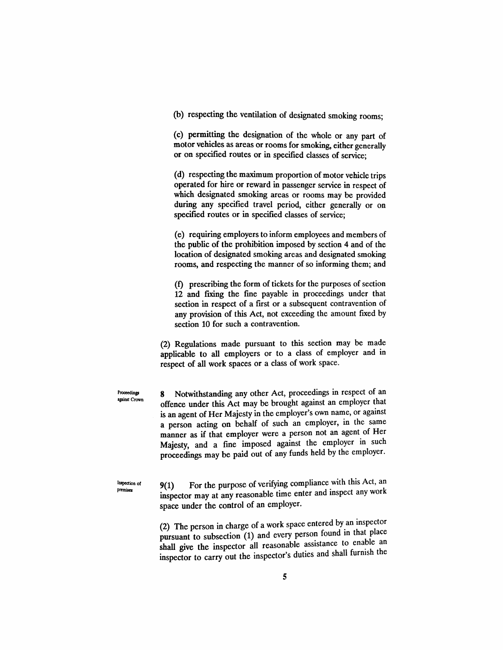(b) respecting the ventilation of designated smoking rooms;

(c) permitting the designation of the whole or any part of motor vehicles as areas or rooms for smoking, either generally or on specified routes or in specified classes of service;

(d) respecting the maximum proportion of motor vehicle trips operated for hire or reward in passenger service in respect of which designated smoking areas or rooms may be provided during any specified travel period, either generally or on specified routes or in specified classes of service;

(e) requiring employers to inform employees and members of the public of the prohibition imposed by section 4 and of the location of designated smoking areas and designated smoking rooms, and respecting the manner of so informing them; and

(f) prescribing the form of tickets for the purposes of section 12 and fIXing the fme payable in proceedings under that section in respect of a frrst or a subsequent contravention of any provision of this Act, not exceeding the amount fixed by section 10 for such a contravention.

(2) Regulations made pursuant to this section may be made applicable to all employers or to a class of employer and in respect of all work spaces or a class of work space.

Proceedings against Crown 8 Notwithstanding any other Act, proceedings in respect of an offence under this Act may be brought against an employer that is an agent of Her Majesty in the employer's own name, or against a person acting on behalf of such an employer, in the same manner as if that employer were a person not an agent of Her Majesty, and a fine imposed against the employer in such proceedings may be paid out of any funds held by the employer.

Inspection of premises

9(1) For the purpose of verifying compliance with this Act, an inspector may at any reasonable time enter and inspect any work space under the control of an employer.

(2) The person in charge of a work space entered by an inspector pursuant to subsection  $(1)$  and every person found in that place shall give the inspector all reasonable assistance to enable an inspector to carry out the inspector's duties and shall furmsh the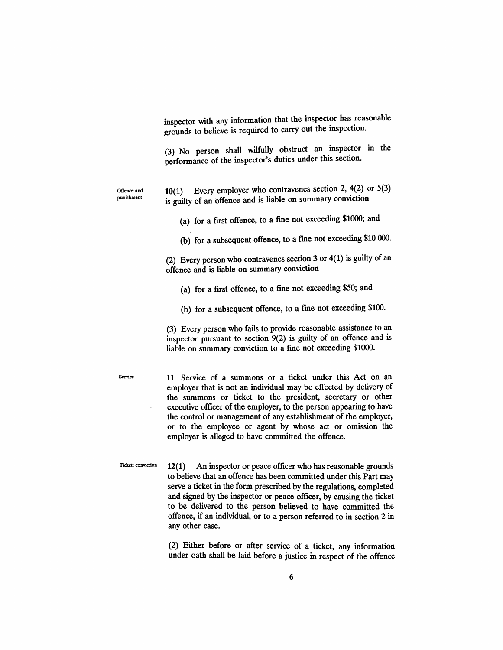inspector with any information that the inspector has reasonable grounds to believe is required to carry out the inspection.

(3) No person shall wilfully obstruct an inspector in the performance of the inspector's duties under this section.

Offence and punishment

10(1) Every employer who contravenes section 2, 4(2) or 5(3) is guilty of an offence and is liable on summary conviction

(a) for a frrst offence, to a fme not exceeding \$1000; and

(b) for a subsequent offence, to a fine not exceeding \$10 000.

(2) Every person who contravenes section 3 or 4(1) is guilty of an offence and is liable on summary conviction

(a) for a first offence, to a fme not exceeding \$50; and

(b) for a subsequent offence, to a fine not exceeding \$100.

(3) Every person who fails to provide reasonable assistance to an inspector pursuant to section 9(2) is guilty of an offence and is liable on summary conviction to a fine not exceeding \$1000.

Service 11 Service of a summons or a ticket under this Act on an employer that is not an individual may be effected by delivery of the summons or ticket to the president, secretary or other executive officer of the employer, to the person appearing to have the control or management of any establishment of the employer, or to the employee or agent by whose act or omission the employer is alleged to have committed the offence.

Ticket; conviction  $12(1)$  An inspector or peace officer who has reasonable grounds to believe that an offence has been committed under this Part may serve a ticket in the form prescribed by the regulations, completed and signed by the inspector or peace officer, by causing the ticket to be delivered to the person believed to have committed the offence, if an individual, or to a person referred to in section 2 in any other case.

> (2) Either before or after service of a ticket, any information under oath shall be laid before a justice in respect of the offence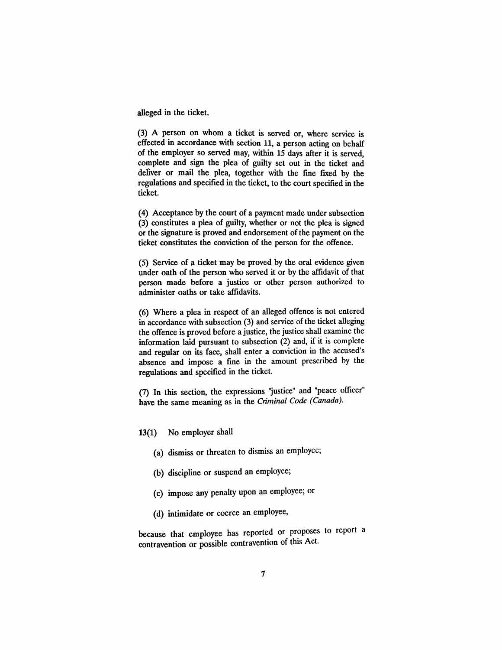alleged in the ticket.

(3) A person on whom a ticket is served or, where service is effected in accordance with section 11, a person acting on behalf of the employer so served may, within 15 days after it is served, complete and sign the plea of guilty set out in the ticket and deliver or mail the plea, together with the fine fixed by the regulations and specified in the ticket, to the court specified in the ticket.

(4) Acceptance by the court of a payment made under subsection (3) constitutes a plea of guilty, whether or not the plea is signed or the signature is proved and endorsement of the payment on the ticket constitutes the conviction of the person for the offence.

(5) Service of a ticket may be proved by the oral evidence given under oath of the person who served it or by the affidavit of that person made before a justice or other person authorized to administer oaths or take affidavits.

(6) Where a plea in respect of an alleged offence is not entered in accordance with subsection (3) and service of the ticket alleging the offence is proved before a justice, the justice shall examine the information laid pursuant to subsection (2) and, if it is complete and regular on its face, shall enter a conviction in the accused's absence and impose a fme in the amount prescribed by the regulations and specified in the ticket.

(7) In this section, the expressions "justice" and "peace officer" have the same meaning as in the Criminal Code (Canada).

13(1) No employer shall

- (a) dismiss or threaten to dismiss an employee;
- (b) discipline or suspend an employee;
- (c) impose any penalty upon an employee; or
- (d) intimidate or coerce an employee,

because that employee has reported or proposes to report a contravention or possible contravention of this Act.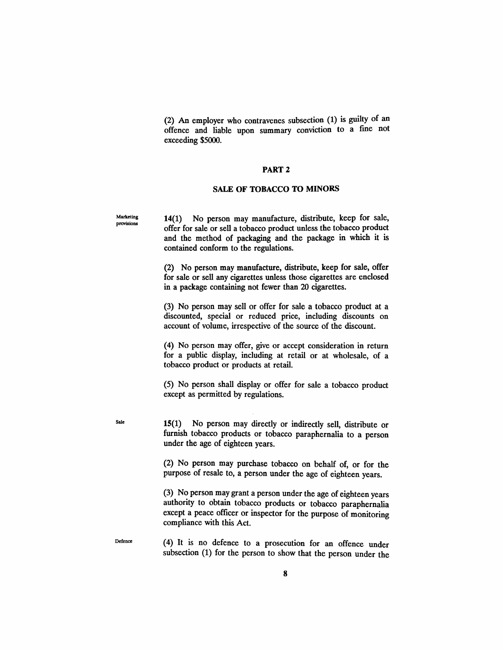(2) An employer who contravenes subsection (1) is guilty of an offence and liable upon summary conviction to a fine not exceeding \$5000.

#### PART 2

#### SALE OF TOBACCO TO MINORS

Marketing provisions

Sale

14(1) No person may manufacture, distribute, keep for sale, offer for sale or sell a tobacco product unless the tobacco product and the method of packaging and the package in which it is contained conform to the regulations.

(2) No person may manufacture, distribute, keep for sale, offer for sale or sell any cigarettes unless those cigarettes are enclosed in a package containing not fewer than 20 cigarettes.

(3) No person may sell or offer for sale a tobacco product at a discounted, special or reduced price, including discounts on account of volume, irrespective of the source of the discount.

(4) No person may offer, give or accept consideration in return for a public display, including at retail or at wholesale, of a tobacco product or products at retail.

(5) No person shall display or offer for sale a tobacco product except as permitted by regulations.

15(1) No person may directly or indirectly sell, distribute or furnish tobacco products or tobacco paraphernalia to a person under the age of eighteen years.

(2) No person may purchase tobacco on behalf of, or for the purpose of resale to, a person under the age of eighteen years.

(3) No person may grant a person under the age of eighteen years authority to obtain tobacco products or tobacco paraphernalia except a peace officer or inspector for the purpose of monitoring compliance with this Act.

Defence (4) It is no defence to a prosecution for an offence under subsection (1) for the person to show that the person under the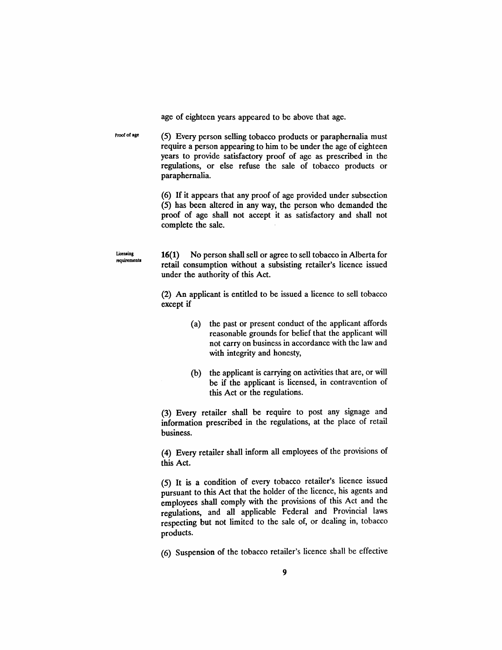age of eighteen years appeared to be above that age.

Proof of age (5) Every person selling tobacco products or paraphernalia must require a person appearing to him to be under the age of eighteen years to provide satisfactory proof of age as prescribed in the regulations, or else refuse the sale of tobacco products or paraphernalia.

> (6) If it appears that any proof of age provided under subsection (5) has been altered in any way, the person who demanded the proof of age shall not accept it as satisfactory and shall not complete the sale.

16(1) No person shall sell or agree to sell tobacco in Alberta for retail consumption without a subsisting retailer's licence issued under the authority of this Act.

Licensing requirements

> (2) An applicant is entitled to be issued a licence to sell tobacco except if

- (a) the past or present conduct of the applicant affords reasonable grounds for belief that the applicant will not carryon business in accordance with the law and with integrity and honesty,
- (b) the applicant is carrying on activities that are, or will be if the applicant is licensed, in contravention of this Act or the regulations.

(3) Every retailer shall be require to post any signage and information prescribed in the regulations, at the place of retail business.

(4) Every retailer shall inform all employees of the provisions of this Act.

(5) It is a condition of every tobacco retailer's licence issued pursuant to this Act that the holder of the licence, his agents and employees shall comply with the provisions of this Act and the regulations, and all applicable Federal and Provincial laws respecting but not limited to the sale of, or dealing in, tobacco products.

(6) Suspension of the tobacco retailer's licence shall be effective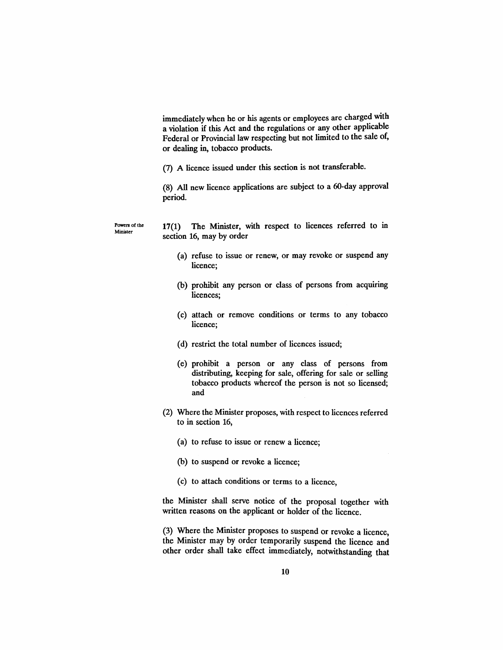immediately when he or his agents or employees are charged with a violation if this Act and the regulations or any other applicable Federal or Provincial law respecting but not limited to the sale of, or dealing in, tobacco products.

(7) A licence issued under this section is not transferable.

(8) All new licence applications are subject to a 6O-day approval period.

Powers of the Minister

17(1) The Minister, with respect to licences referred to in section 16, may by order

- (a) refuse to issue or renew, or may revoke or suspend any licence;
- (b) prohibit any person or class of persons from acquiring licences;
- (c) attach or remove conditions or terms to any tobacco licence;
- (d) restrict the total number of licences issued;
- (e) prohibit a person or any class of persons from distributing, keeping for sale, offering for sale or selling tobacco products whereof the person is not so licensed; and
- (2) Where the Minister proposes, with respect to licences referred to in section 16,
	- (a) to refuse to issue or renew a licence;
	- (b) to suspend or revoke a licence;
	- (c) to attach conditions or terms to a licence,

the Minister shall serve notice of the proposal together with written reasons on the applicant or holder of the licence.

(3) Where the Minister proposes to suspend or revoke a licence, the Minister may by order temporarily suspend the licence and other order shall take effect immediately, notwithstanding that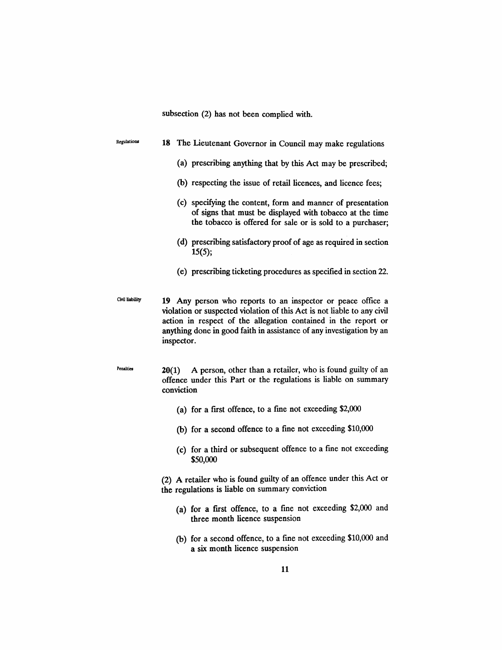subsection (2) has not been complied with.

| Regulations     | 18 The Lieutenant Governor in Council may make regulations                                                                                                                                                                                                                                     |
|-----------------|------------------------------------------------------------------------------------------------------------------------------------------------------------------------------------------------------------------------------------------------------------------------------------------------|
|                 | (a) prescribing anything that by this Act may be prescribed;                                                                                                                                                                                                                                   |
|                 | (b) respecting the issue of retail licences, and licence fees;                                                                                                                                                                                                                                 |
|                 | (c) specifying the content, form and manner of presentation<br>of signs that must be displayed with tobacco at the time<br>the tobacco is offered for sale or is sold to a purchaser;                                                                                                          |
|                 | (d) prescribing satisfactory proof of age as required in section<br>15(5);                                                                                                                                                                                                                     |
|                 | (e) prescribing ticketing procedures as specified in section 22.                                                                                                                                                                                                                               |
| Civil liability | 19 Any person who reports to an inspector or peace office a<br>violation or suspected violation of this Act is not liable to any civil<br>action in respect of the allegation contained in the report or<br>anything done in good faith in assistance of any investigation by an<br>inspector. |
| Penalties       | A person, other than a retailer, who is found guilty of an<br>20(1)<br>offence under this Part or the regulations is liable on summary<br>conviction                                                                                                                                           |
|                 | (a) for a first offence, to a fine not exceeding \$2,000                                                                                                                                                                                                                                       |
|                 | (b) for a second offence to a fine not exceeding \$10,000                                                                                                                                                                                                                                      |
|                 | (c) for a third or subsequent offence to a fine not exceeding<br>\$50,000                                                                                                                                                                                                                      |
|                 | (2) A retailer who is found guilty of an offence under this Act or<br>the regulations is liable on summary conviction                                                                                                                                                                          |
|                 | (a) for a first offence, to a fine not exceeding \$2,000 and<br>three month licence suspension                                                                                                                                                                                                 |

(b) for a second offence, to a fine not exceeding \$10,000 and a six month licence suspension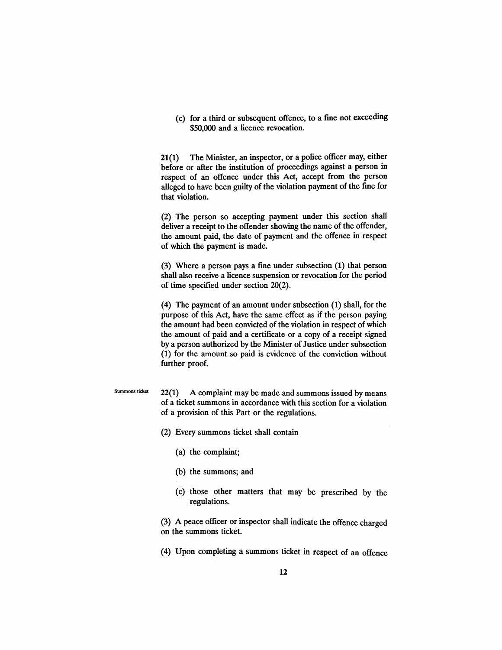(c) for a third or subsequent offence, to a fme not exceeding \$50,000 and a licence revocation.

21(1) The Minister, an inspector, or a police officer may, either before or after the institution of proceedings against a person in respect of an offence under this Act, accept from the person alleged to have been guilty of the violation payment of the fme for that violation.

(2) The person so accepting payment under this section shall deliver a receipt to the offender showing the name of the offender, the amount paid, the date of payment and the offence in respect of which the payment is made.

(3) Where a person pays a fme under subsection (1) that person shall also receive a licence suspension or revocation for the period of time specified under section 20(2).

(4) The payment of an amount under subsection (1) shall, for the purpose of this Act, have the same effect as if the person paying the amount had been convicted of the violation in respect of which the amount of paid and a certificate or a copy of a receipt signed by a person authorized by the Minister of Justice under subsection (1) for the amount so paid is evidence of the conviction without further proof.

#### Summons ticket

22(1) A complaint may be made and summons issued by means of a ticket summons in accordance with this section for a violation of a provision of this Part or the regulations.

(2) Every summons ticket shall contain

- (a) the complaint;
- (b) the summons; and
- (c) those other matters that may be prescribed by the regulations.

(3) A peace officer or inspector shall indicate the offence charged on the summons ticket.

(4) Upon completing a summons ticket in respect of an offence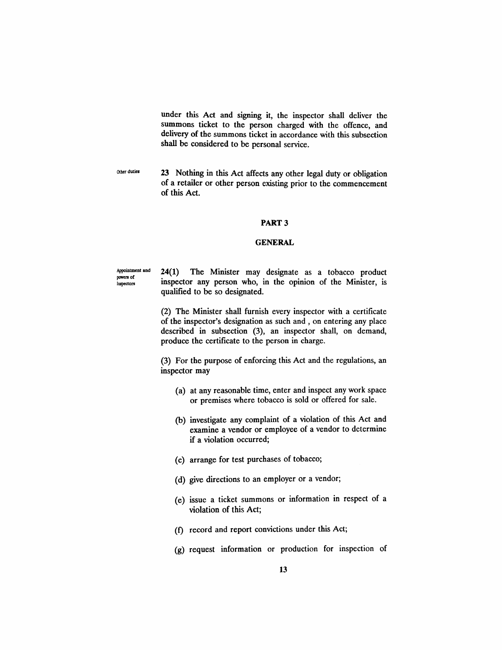under this Act and signing it, the inspector shall deliver the summons ticket to the person charged with the offence, and delivery of the summons ticket in accordance with this subsection shall be considered to be personal service.

Other duties 23 Nothing in this Act affects any other legal duty or obligation of a retailer or other person existing prior to the commencement of this Act.

#### PART 3

#### **GENERAL**

Appointment and poweR of Inspectors 24(1) The Minister may designate as a tobacco product inspector any person who, in the opinion of the Minister, is qualified to be so designated.

> (2) The Minister shall furnish every inspector with a certificate of the inspector's designation as such and, on entering any place described in subsection (3), an inspector shall, on demand, produce the certificate to the person in charge.

> (3) For the purpose of enforcing this Act and the regulations, an inspector may

- (a) at any reasonable time, enter and inspect any work space or premises where tobacco is sold or offered for sale.
- (b) investigate any complaint of a violation of this Act and examine a vendor or employee of a vendor to determine if a violation occurred;
- (c) arrange for test purchases of tobacco;
- (d) give directions to an employer or a vendor;
- (e) issue a ticket summons or information in respect of a violation of this Act;
- (f) record and report convictions under this Act;
- (g) request information or production for inspection of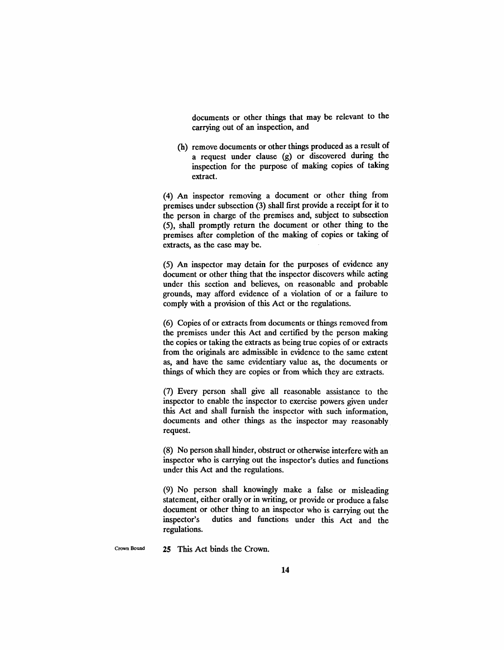documents or other things that may be relevant to the carrying out of an inspection, and

(h) remove documents or other things produced as a result of a request under clause (g) or discovered during the inspection for the purpose of making copies of taking extract.

(4) An inspector removing a document or other thing from premises under subsection (3) shall first provide a receipt for it to the person in charge of the premises and, subject to subsection (5), shall promptly return the document or other thing to the premises after completion of the making of copies or taking of extracts, as the case may be.

(5) An inspector may detain for the purposes of evidence any document or other thing that the inspector discovers while acting under this section and believes, on reasonable and probable grounds, may afford evidence of a violation of or a failure to comply with a provision of this Act or the regulations.

(6) Copies of or extracts from documents or things removed from the premises under this Act and certified by the person making the copies or taking the extracts as being true copies of or extracts from the originals are admissible in evidence to the same extent as, and have the same evidentiary value as, the documents or things of which they are copies or from which they are extracts.

(7) Every person shall give all reasonable assistance to the inspector to enable the inspector to exercise powers given under this Act and shall furnish the inspector with such information, documents and other things as the inspector may reasonably request.

(8) No person shall hinder, obstruct or otherwise interfere with an inspector who is carrying out the inspector's duties and functions under this Act and the regulations.

(9) No person shall knowingly make a false or misleading statement, either orally or in writing, or provide or produce a false document or other thing to an inspector who is carrying out the inspector's duties and functions under this Act and the regulations.

Crown Bound 25 This Act binds the Crown.